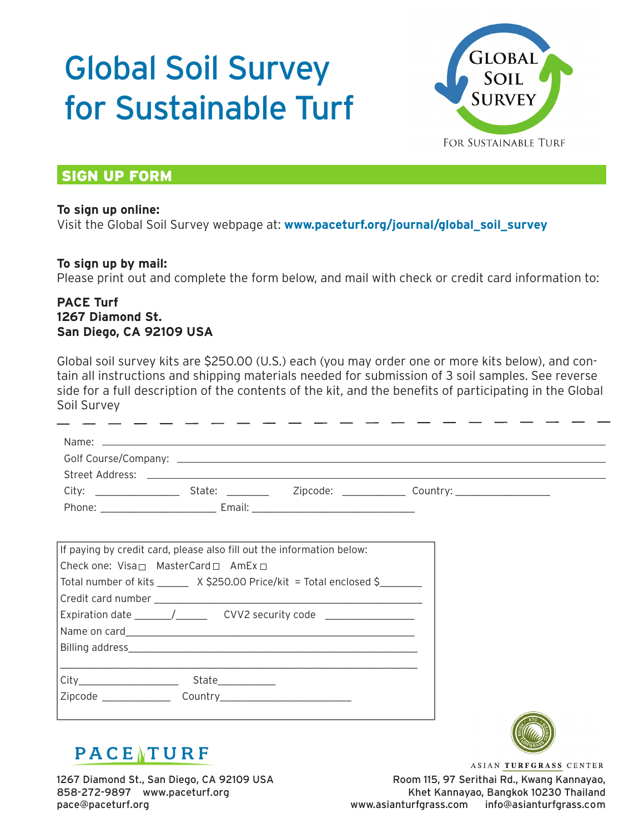# Global Soil Survey for Sustainable Turf



*Dr. Micah Woods* 

### **SIGN UP FORM**

#### **To sign up online:**

Visit the Global Soil Survey webpage at: **www.paceturf.org/journal/global\_soil\_survey**

#### **To sign up by mail:**

Please print out and complete the form below, and mail with check or credit card information to:

#### **PACE Turf 1267 Diamond St. San Diego, CA 92109 USA**

Global soil survey kits are \$250.00 (U.S.) each (you may order one or more kits below), and contain all instructions and shipping materials needed for submission of 3 soil samples. See reverse side for a full description of the contents of the kit, and the benefits of participating in the Global Soil Survey

| If paying by credit card, please also fill out the information below:<br>Check one: $Visan$ MasterCard $\Box$ AmEx $\Box$                                                                                                                                                                                                                                                                                 |  |  |
|-----------------------------------------------------------------------------------------------------------------------------------------------------------------------------------------------------------------------------------------------------------------------------------------------------------------------------------------------------------------------------------------------------------|--|--|
| Total number of kits _______ X \$250.00 Price/kit = Total enclosed \$                                                                                                                                                                                                                                                                                                                                     |  |  |
| Expiration date $\frac{1}{\sqrt{1-\frac{1}{1-\frac{1}{1-\frac{1}{1-\frac{1}{1-\frac{1}{1-\frac{1}{1-\frac{1}{1-\frac{1}{1-\frac{1}{1-\frac{1}{1-\frac{1}{1-\frac{1}{1-\frac{1}{1-\frac{1}{1-\frac{1}{1-\frac{1}{1-\frac{1}{1-\frac{1}{1-\frac{1}{1-\frac{1}{1-\frac{1}{1-\frac{1}{1-\frac{1}{1-\frac{1}{1-\frac{1}{1-\frac{1}{1-\frac{1}{1-\frac{1}{1-\frac{1}{1-\frac{1}{1-\frac{1}{1-\frac{1}{1-\frac{$ |  |  |
|                                                                                                                                                                                                                                                                                                                                                                                                           |  |  |
|                                                                                                                                                                                                                                                                                                                                                                                                           |  |  |
|                                                                                                                                                                                                                                                                                                                                                                                                           |  |  |



## $PACE$ <sup>TURF</sup>

1267 Diamond St., San Diego, CA 92109 USA 858-272-9897 www.paceturf.org pace@paceturf.org

ASIAN TURFGRASS CENTER Room 115, 97 Serithai Rd., Kwang Kannayao, Khet Kannayao, Bangkok 10230 Thailand www.asianturfgrass.com info@asianturfgrass.com